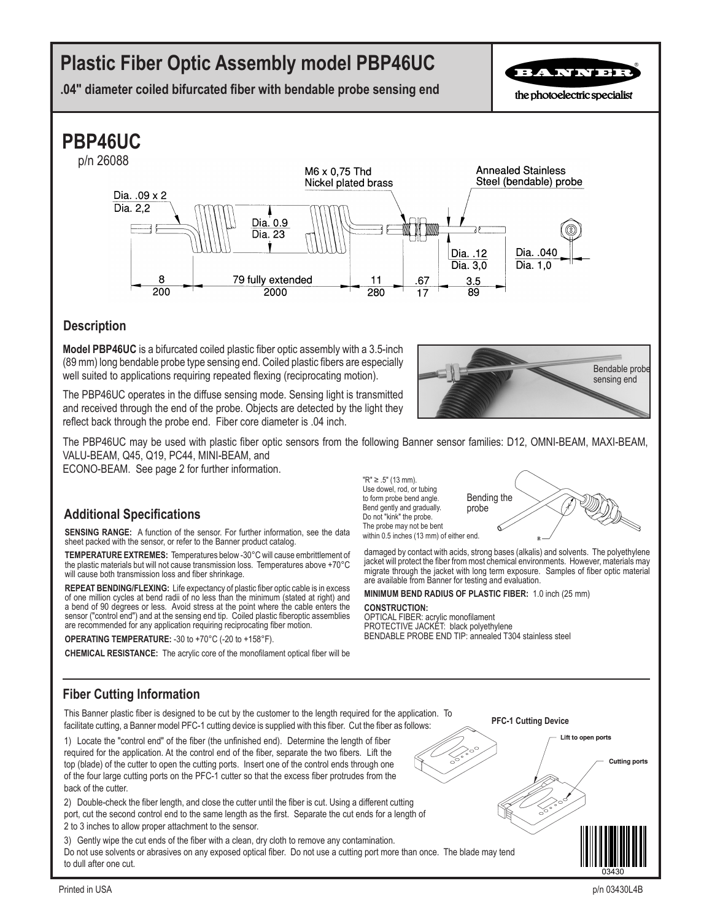# **Plastic Fiber Optic Assembly model PBP46UC**

**.04" diameter coiled bifurcated fiber with bendable probe sensing end**

BANNBE

the photoelectric specialist

## **PBP46UC**



### **Description**

**Model PBP46UC** is a bifurcated coiled plastic fiber optic assembly with a 3.5-inch (89 mm) long bendable probe type sensing end. Coiled plastic fibers are especially well suited to applications requiring repeated flexing (reciprocating motion).

The PBP46UC operates in the diffuse sensing mode. Sensing light is transmitted and received through the end of the probe. Objects are detected by the light they reflect back through the probe end. Fiber core diameter is .04 inch.

The PBP46UC may be used with plastic fiber optic sensors from the following Banner sensor families: D12, OMNI-BEAM, MAXI-BEAM, VALU-BEAM, Q45, Q19, PC44, MINI-BEAM, and

ECONO-BEAM. See page 2 for further information.

### **Additional Specifications**

**SENSING RANGE:** A function of the sensor. For further information, see the data sheet packed with the sensor, or refer to the Banner product catalog.

**TEMPERATURE EXTREMES:** Temperatures below -30°C will cause embrittlement of the plastic materials but will not cause transmission loss. Temperatures above +70°C will cause both transmission loss and fiber shrinkage.

**REPEAT BENDING/FLEXING:** Life expectancy of plastic fiber optic cable is in excess of one million cycles at bend radii of no less than the minimum (stated at right) and a bend of 90 degrees or less. Avoid stress at the point where the cable enters the sensor ("control end") and at the sensing end tip. Coiled plastic fiberoptic assemblies are recommended for any application requiring reciprocating fiber motion.

**OPERATING TEMPERATURE:** -30 to +70°C (-20 to +158°F).

**CHEMICAL RESISTANCE:** The acrylic core of the monofilament optical fiber will be

"R" ≥ .5" (13 mm). Use dowel, rod, or tubing to form probe bend angle. Bend gently and gradually. Do not "kink" the probe. The probe may not be bent within 0.5 inches (13 mm) of either end. probe



damaged by contact with acids, strong bases (alkalis) and solvents. The polyethylene jacket will protect the fiber from most chemical environments. However, materials may migrate through the jacket with long term exposure. Samples of fiber optic material are available from Banner for testing and evaluation.

**MINIMUM BEND RADIUS OF PLASTIC FIBER:** 1.0 inch (25 mm)

#### **CONSTRUCTION:**

OPTICAL FIBER: acrylic monofilament PROTECTIVE JACKET: black polyethylene BENDABLE PROBE END TIP: annealed T304 stainless steel

### **Fiber Cutting Information**

This Banner plastic fiber is designed to be cut by the customer to the length required for the application. To facilitate cutting, a Banner model PFC-1 cutting device is supplied with this fiber. Cut the fiber as follows:

1) Locate the "control end" of the fiber (the unfinished end). Determine the length of fiber required for the application. At the control end of the fiber, separate the two fibers. Lift the top (blade) of the cutter to open the cutting ports. Insert one of the control ends through one of the four large cutting ports on the PFC-1 cutter so that the excess fiber protrudes from the back of the cutter.

2) Double-check the fiber length, and close the cutter until the fiber is cut. Using a different cutting port, cut the second control end to the same length as the first. Separate the cut ends for a length of 2 to 3 inches to allow proper attachment to the sensor.

3) Gently wipe the cut ends of the fiber with a clean, dry cloth to remove any contamination. Do not use solvents or abrasives on any exposed optical fiber. Do not use a cutting port more than once. The blade may tend to dull after one cut.

**PFC-1 Cutting Device**



Lift to open ports

Bendable probe sensing end